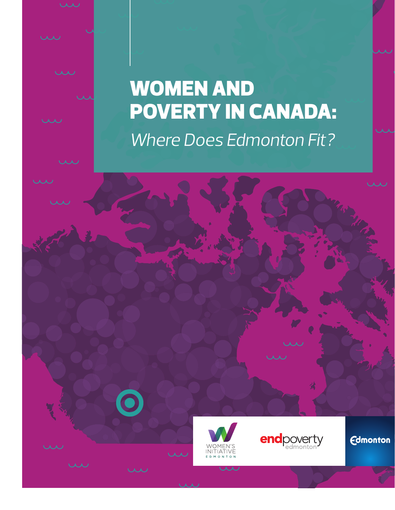# WOMEN AND POVERTY IN CANADA: *Where Does Edmonton Fit?*





**Edmonton**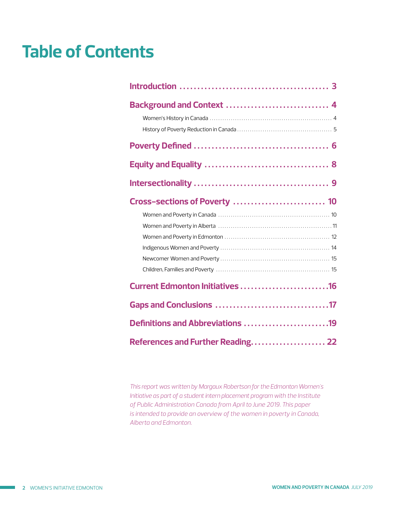### **Table of Contents**

| Background and Context  4         |  |
|-----------------------------------|--|
|                                   |  |
|                                   |  |
|                                   |  |
| Cross-sections of Poverty  10     |  |
|                                   |  |
|                                   |  |
|                                   |  |
|                                   |  |
|                                   |  |
|                                   |  |
| Current Edmonton Initiatives 16   |  |
|                                   |  |
| Definitions and Abbreviations 19  |  |
| References and Further Reading 22 |  |

*This report was written by Margaux Robertson for the Edmonton Women's Initiative as part of a student intern placement program with the Institute of Public Administration Canada from April to June 2019. This paper is intended to provide an overview of the women in poverty in Canada, Alberta and Edmonton.*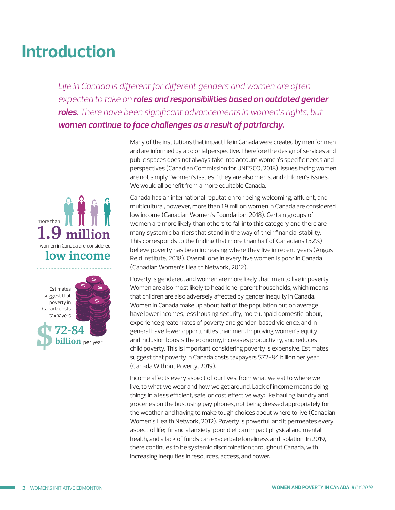## <span id="page-2-0"></span>**Introduction**

Life in Canada is different for different genders and women are often *expected to take on roles and responsibilities based on outdated gender roles. There have been significant advancements in women's rights, but women continue to face challenges as a result of patriarchy.*



Canada has an international reputation for being welcoming, affluent, and multicultural, however, more than 1.9 million women in Canada are considered low income (Canadian Women's Foundation, 2018). Certain groups of women are more likely than others to fall into this category and there are many systemic barriers that stand in the way of their financial stability. This corresponds to the finding that more than half of Canadians (52%) believe poverty has been increasing where they live in recent years (Angus Reid Institute, 2018). Overall, one in every five women is poor in Canada (Canadian Women's Health Network, 2012).

Poverty is gendered, and women are more likely than men to live in poverty. Women are also most likely to head lone-parent households, which means that children are also adversely affected by gender inequity in Canada. Women in Canada make up about half of the population but on average have lower incomes, less housing security, more unpaid domestic labour, experience greater rates of poverty and gender-based violence, and in general have fewer opportunities than men. Improving women's equity and inclusion boosts the economy, increases productivity, and reduces child poverty. This is important considering poverty is expensive. Estimates suggest that poverty in Canada costs taxpayers \$72-84 billion per year (Canada Without Poverty, 2019).

Income affects every aspect of our lives, from what we eat to where we live, to what we wear and how we get around. Lack of income means doing things in a less efficient, safe, or cost effective way: like hauling laundry and groceries on the bus, using pay phones, not being dressed appropriately for the weather, and having to make tough choices about where to live (Canadian Women's Health Network, 2012). Poverty is powerful, and it permeates every aspect of life; financial anxiety, poor diet can impact physical and mental health, and a lack of funds can exacerbate loneliness and isolation. In 2019, there continues to be systemic discrimination throughout Canada, with increasing inequities in resources, access, and power.



billion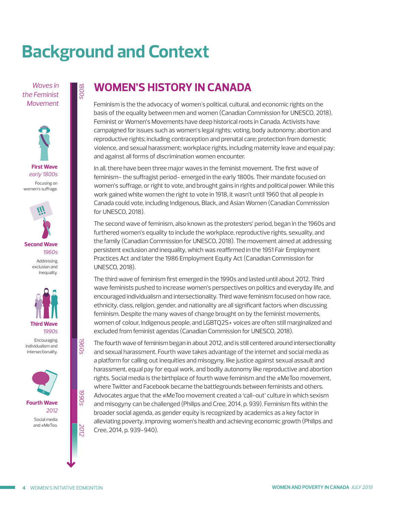# <span id="page-3-0"></span>**Background and Context**

*Waves in the Feminist Movement*

*1800s*







inequality.

Encouraging individualism and intersectionality.



**WOMEN'S HISTORY IN CANADA**

Feminism is the the advocacy of women's political, cultural, and economic rights on the basis of the equality between men and women (Canadian Commission for UNESCO, 2018). Feminist or Women's Movements have deep historical roots in Canada. Activists have campaigned for issues such as women's legal rights; voting, body autonomy; abortion and reproductive rights; including contraception and prenatal care; protection from domestic violence, and sexual harassment; workplace rights, including maternity leave and equal pay; and against all forms of discrimination women encounter.

In all, there have been three major waves in the feminist movement. The first wave of feminism- the suffragist period- emerged in the early 1800s. Their mandate focused on women's suffrage, or right to vote, and brought gains in rights and political power. While this work gained white women the right to vote in 1918, it wasn't until 1960 that all people in Canada could vote, including Indigenous, Black, and Asian Women (Canadian Commission for UNESCO, 2018).

The second wave of feminism, also known as the protesters' period, began in the 1960s and furthered women's equality to include the workplace, reproductive rights, sexuality, and the family (Canadian Commission for UNESCO, 2018). The movement aimed at addressing persistent exclusion and inequality, which was reaffirmed in the 1951 Fair Employment Practices Act and later the 1986 Employment Equity Act (Canadian Commission for UNESCO, 2018).

The third wave of feminism first emerged in the 1990s and lasted until about 2012. Third wave feminists pushed to increase women's perspectives on politics and everyday life, and encouraged individualism and intersectionality. Third wave feminism focused on how race, ethnicity, class, religion, gender, and nationality are all significant factors when discussing feminism. Despite the many waves of change brought on by the feminist movements, women of colour, Indigenous people, and LGBTQ2S+ voices are often still marginalized and excluded from feminist agendas (Canadian Commission for UNESCO, 2018).

The fourth wave of feminism began in about 2012, and is still centered around intersectionality and sexual harassment. Fourth wave takes advantage of the internet and social media as a platform for calling out inequities and misogyny, like justice against sexual assault and harassment, equal pay for equal work, and bodily autonomy like reproductive and abortion rights. Social media is the birthplace of fourth wave feminism and the #MeToo movement, where Twitter and Facebook became the battlegrounds between feminists and others. Advocates argue that the #MeToo movement created a 'call-out' culture in which sexism and misogyny can be challenged (Philips and Cree, 2014, p. 939). Feminism fits within the broader social agenda, as gender equity is recognized by academics as a key factor in alleviating poverty, improving women's health and achieving economic growth (Philips and Cree, 2014, p. 939-940).

*2012 1990s 1960s*

1990<sub>5</sub>

2012

**1960s**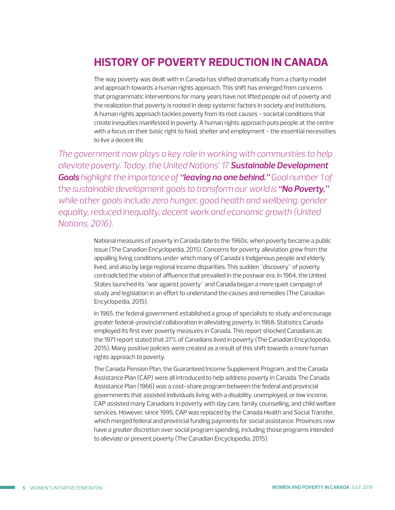### <span id="page-4-0"></span>**HISTORY OF POVERTY REDUCTION IN CANADA**

The way poverty was dealt with in Canada has shifted dramatically from a charity model and approach towards a human rights approach. This shift has emerged from concerns that programmatic interventions for many years have not lifted people out of poverty and the realization that poverty is rooted in deep systemic factors in society and institutions. A human rights approach tackles poverty from its root causes - societal conditions that create inequities manifested in poverty. A human rights approach puts people at the centre with a focus on their basic right to food, shelter and employment - the essential necessities to live a decent life.

*The government now plays a key role in working with communities to help alleviate poverty. Today, the United Nations' 17 Sustainable Development Goals highlight the importance of "leaving no one behind." Goal number 1 of the sustainable development goals to transform our world is "No Poverty," while other goals include zero hunger, good health and wellbeing, gender equality, reduced inequality, decent work and economic growth (United Nations, 2016).* 

> National measures of poverty in Canada date to the 1960s, when poverty became a public issue (The Canadian Encyclopedia, 2015). Concerns for poverty alleviation grew from the appalling living conditions under which many of Canada's Indigenous people and elderly lived, and also by large regional income disparities. This sudden "discovery" of poverty contradicted the vision of affluence that prevailed in the postwar era. In 1964, the United States launched its "war against poverty" and Canada began a more quiet campaign of study and legislation in an effort to understand the causes and remedies (The Canadian Encyclopedia, 2015).

> In 1965, the federal government established a group of specialists to study and encourage greater federal-provincial collaboration in alleviating poverty. In 1968, Statistics Canada employed its first ever poverty measures in Canada. This report shocked Canadians as the 1971 report stated that 27% of Canadians lived in poverty (The Canadian Encyclopedia, 2015). Many positive policies were created as a result of this shift towards a more human rights approach to poverty.

The Canada Pension Plan, the Guaranteed Income Supplement Program, and the Canada Assistance Plan (CAP) were all introduced to help address poverty in Canada. The Canada Assistance Plan (1966) was a cost-share program between the federal and provincial governments that assisted individuals living with a disability, unemployed, or low income. CAP assisted many Canadians in poverty with day care, family counselling, and child welfare services. However, since 1995, CAP was replaced by the Canada Health and Social Transfer, which merged federal and provincial funding payments for social assistance. Provinces now have a greater discretion over social program spending, including those programs intended to alleviate or prevent poverty (The Canadian Encyclopedia, 2015).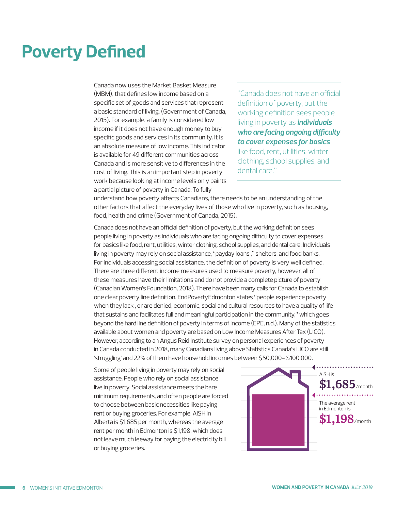### <span id="page-5-0"></span>**Poverty Defined**

Canada now uses the Market Basket Measure (MBM), that defines low income based on a specific set of goods and services that represent a basic standard of living. (Government of Canada, 2015). For example, a family is considered low income if it does not have enough money to buy specific goods and services in its community. It is an absolute measure of low income. This indicator is available for 49 different communities across Canada and is more sensitive to differences in the cost of living. This is an important step in poverty work because looking at income levels only paints a partial picture of poverty in Canada. To fully

"Canada does not have an official definition of poverty, but the working definition sees people living in poverty as *individuals who are facing ongoing difficulty to cover expenses for basics*  like food, rent, utilities, winter clothing, school supplies, and dental care."

understand how poverty affects Canadians, there needs to be an understanding of the other factors that affect the everyday lives of those who live in poverty, such as housing, food, health and crime (Government of Canada, 2015).

Canada does not have an official definition of poverty, but the working definition sees people living in poverty as individuals who are facing ongoing difficulty to cover expenses for basics like food, rent, utilities, winter clothing, school supplies, and dental care. Individuals living in poverty may rely on social assistance, "payday loans ," shelters, and food banks. For individuals accessing social assistance, the definition of poverty is very well defined. There are three different income measures used to measure poverty, however, all of these measures have their limitations and do not provide a complete picture of poverty (Canadian Women's Foundation, 2018). There have been many calls for Canada to establish one clear poverty line definition. EndPovertyEdmonton states "people experience poverty when they lack , or are denied, economic, social and cultural resources to have a quality of life that sustains and facilitates full and meaningful participation in the community," which goes beyond the hard line definition of poverty in terms of income (EPE, n.d.). Many of the statistics available about women and poverty are based on Low Income Measures After Tax (LICO). However, according to an Angus Reid Institute survey on personal experiences of poverty in Canada conducted in 2018, many Canadians living above Statistics Canada's LICO are still 'struggling' and 22% of them have household incomes between \$50,000- \$100,000.

Some of people living in poverty may rely on social assistance. People who rely on social assistance live in poverty. Social assistance meets the bare minimum requirements, and often people are forced to choose between basic necessities like paying rent or buying groceries. For example, AISH in Alberta is \$1,685 per month, whereas the average rent per month in Edmonton is \$1,198, which does not leave much leeway for paying the electricity bill or buying groceries.

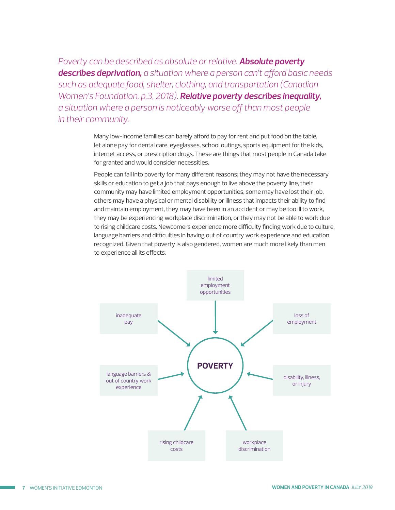*Poverty can be described as absolute or relative. Absolute poverty describes deprivation, a situation where a person can't afford basic needs such as adequate food, shelter, clothing, and transportation (Canadian Women's Foundation, p.3, 2018). Relative poverty describes inequality, a situation where a person is noticeably worse off than most people in their community.* 

> Many low-income families can barely afford to pay for rent and put food on the table, let alone pay for dental care, eyeglasses, school outings, sports equipment for the kids, internet access, or prescription drugs. These are things that most people in Canada take for granted and would consider necessities.

People can fall into poverty for many different reasons; they may not have the necessary skills or education to get a job that pays enough to live above the poverty line, their community may have limited employment opportunities, some may have lost their job, others may have a physical or mental disability or illness that impacts their ability to find and maintain employment, they may have been in an accident or may be too ill to work, they may be experiencing workplace discrimination, or they may not be able to work due to rising childcare costs. Newcomers experience more difficulty finding work due to culture, language barriers and difficulties in having out of country work experience and education recognized. Given that poverty is also gendered, women are much more likely than men to experience all its effects.

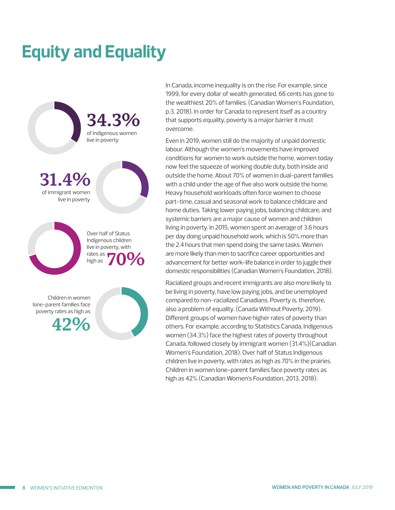# <span id="page-7-0"></span>**Equity and Equality**



In Canada, income inequality is on the rise. For example, since 1999, for every dollar of wealth generated, 66 cents has gone to the wealthiest 20% of families. (Canadian Women's Foundation, p.3, 2018). In order for Canada to represent itself as a country that supports equality, poverty is a major barrier it must overcome.

Even in 2019, women still do the majority of unpaid domestic labour. Although the women's movements have improved conditions for women to work outside the home, women today now feel the squeeze of working double duty, both inside and outside the home. About 70% of women in dual-parent families with a child under the age of five also work outside the home. Heavy household workloads often force women to choose part-time, casual and seasonal work to balance childcare and home duties. Taking lower paying jobs, balancing childcare, and systemic barriers are a major cause of women and children living in poverty. In 2015, women spent an average of 3.6 hours per day doing unpaid household work, which is 50% more than the 2.4 hours that men spend doing the same tasks. Women are more likely than men to sacrifice career opportunities and advancement for better work-life balance in order to juggle their domestic responsibilities (Canadian Women's Foundation, 2018).

Racialized groups and recent immigrants are also more likely to be living in poverty, have low paying jobs, and be unemployed compared to non-racialized Canadians. Poverty is, therefore, also a problem of equality. (Canada Without Poverty, 2019). Different groups of women have higher rates of poverty than others. For example, according to Statistics Canada, Indigenous women (34.3%) face the highest rates of poverty throughout Canada, followed closely by immigrant women (31.4%)(Canadian Women's Foundation, 2018). Over half of Status Indigenous children live in poverty, with rates as high as 70% in the prairies. Children in women lone-parent families face poverty rates as high as 42% (Canadian Women's Foundation, 2013, 2018).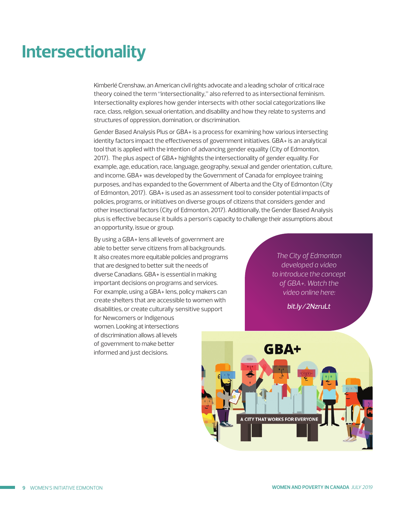### <span id="page-8-0"></span>**Intersectionality**

Kimberlé Crenshaw, an American civil rights advocate and a leading scholar of critical race theory coined the term "intersectionality," also referred to as intersectional feminism. Intersectionality explores how gender intersects with other social categorizations like race, class, religion, sexual orientation, and disability and how they relate to systems and structures of oppression, domination, or discrimination.

Gender Based Analysis Plus or GBA+ is a process for examining how various intersecting identity factors impact the effectiveness of government initiatives. GBA+ is an analytical tool that is applied with the intention of advancing gender equality (City of Edmonton, 2017). The plus aspect of GBA+ highlights the intersectionality of gender equality. For example, age, education, race, language, geography, sexual and gender orientation, culture, and income. GBA+ was developed by the Government of Canada for employee training purposes, and has expanded to the Government of Alberta and the City of Edmonton (City of Edmonton, 2017). GBA+ is used as an assessment tool to consider potential impacts of policies, programs, or initiatives on diverse groups of citizens that considers gender and other insectional factors (City of Edmonton, 2017). Additionally, the Gender Based Analysis plus is effective because it builds a person's capacity to challenge their assumptions about an opportunity, issue or group.

By using a GBA+ lens all levels of government are able to better serve citizens from all backgrounds. It also creates more equitable policies and programs that are designed to better suit the needs of diverse Canadians. GBA+ is essential in making important decisions on programs and services. For example, using a GBA+ lens, policy makers can create shelters that are accessible to women with disabilities, or create culturally sensitive support for Newcomers or Indigenous women. Looking at intersections of discrimination allows all levels of government to make better informed and just decisions.

*The City of Edmonton developed a video to introduce the concept of GBA+. Watch the video online here:*

*bit.ly/2NzruLt*

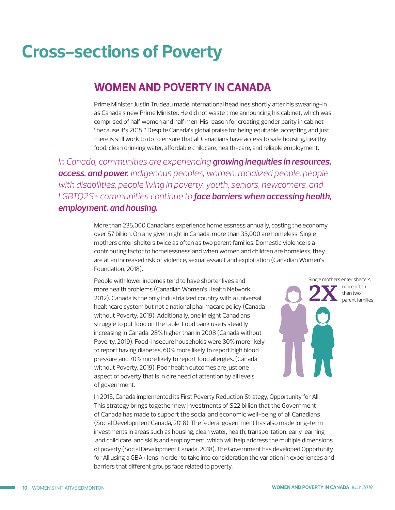### <span id="page-9-0"></span>**Cross-sections of Poverty**

#### **WOMEN AND POVERTY IN CANADA**

Prime Minister Justin Trudeau made international headlines shortly after his swearing-in as Canada's new Prime Minister. He did not waste time announcing his cabinet, which was comprised of half women and half men. His reason for creating gender parity in cabinet - "because it's 2015." Despite Canada's global praise for being equitable, accepting and just, there is still work to do to ensure that all Canadians have access to safe housing, healthy food, clean drinking water, affordable childcare, health-care, and reliable employment.

*In Canada, communities are experiencing growing inequities in resources, access, and power. Indigenous peoples, women, racialized people, people with disabilities, people living in poverty, youth, seniors, newcomers, and LGBTQ2S+ communities continue to face barriers when accessing health, employment, and housing.* 

> More than 235,000 Canadians experience homelessness annually, costing the economy over \$7 billion. On any given night in Canada, more than 35,000 are homeless. Single mothers enter shelters twice as often as two parent families. Domestic violence is a contributing factor to homelessness and when women and children are homeless, they are at an increased risk of violence, sexual assault and exploitation (Canadian Women's Foundation, 2018).

People with lower incomes tend to have shorter lives and more health problems (Canadian Women's Health Network, 2012). Canada is the only industrialized country with a universal healthcare system but not a national pharmacare policy (Canada without Poverty, 2019). Additionally, one in eight Canadians struggle to put food on the table. Food bank use is steadily increasing in Canada, 28% higher than in 2008 (Canada without Poverty, 2019). Food-insecure households were 80% more likely to report having diabetes, 60% more likely to report high blood pressure and 70% more likely to report food allergies. (Canada without Poverty, 2019). Poor health outcomes are just one aspect of poverty that is in dire need of attention by all levels of government.



In 2015, Canada implemented its First Poverty Reduction Strategy, Opportunity for All. This strategy brings together new investments of \$22 billion that the Government of Canada has made to support the social and economic well-being of all Canadians (Social Development Canada, 2018). The federal government has also made long-term investments in areas such as housing, clean water, health, transportation, early learning and child care, and skills and employment, which will help address the multiple dimensions of poverty (Social Development Canada, 2018). The Government has developed Opportunity for All using a GBA+ lens in order to take into consideration the variation in experiences and barriers that different groups face related to poverty.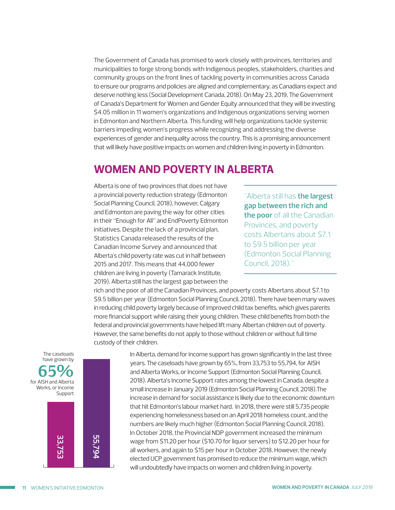<span id="page-10-0"></span>The Government of Canada has promised to work closely with provinces, territories and municipalities to forge strong bonds with Indigenous peoples, stakeholders, charities and community groups on the front lines of tackling poverty in communities across Canada to ensure our programs and policies are aligned and complementary, as Canadians expect and deserve nothing less (Social Development Canada, 2018). On May 23, 2019, The Government of Canada's Department for Women and Gender Equity announced that they will be investing \$4.05 million in 11 women's organizations and Indigenous organizations serving women in Edmonton and Northern Alberta. This funding will help organizations tackle systemic barriers impeding women's progress while recognizing and addressing the diverse experiences of gender and inequality across the country. This is a promising announcement that will likely have positive impacts on women and children living in poverty in Edmonton.

#### **WOMEN AND POVERTY IN ALBERTA**

Alberta is one of two provinces that does not have a provincial poverty reduction strategy (Edmonton Social Planning Council, 2018), however, Calgary and Edmonton are paving the way for other cities in their "Enough for All" and EndPoverty Edmonton initiatives. Despite the lack of a provincial plan, Statistics Canada released the results of the Canadian Income Survey and announced that Alberta's child poverty rate was cut in half between 2015 and 2017. This means that 44,000 fewer children are living in poverty (Tamarack Institute, 2019). Alberta still has the largest gap between the

"Alberta still has **the largest gap between the rich and the poor** of all the Canadian Provinces, and poverty costs Albertans about \$7.1 to \$9.5 billion per year (Edmonton Social Planning Council, 2018)."

rich and the poor of all the Canadian Provinces, and poverty costs Albertans about \$7.1 to \$9.5 billion per year (Edmonton Social Planning Council, 2018). There have been many waves in reducing child poverty largely because of improved child tax benefits, which gives parents more financial support while raising their young children. These child benefits from both the federal and provincial governments have helped lift many Albertan children out of poverty. However, the same benefits do not apply to those without children or without full time custody of their children.



In Alberta, demand for income support has grown significantly in the last three years. The caseloads have grown by 65%, from 33,753 to 55,794, for AISH and Alberta Works, or Income Support (Edmonton Social Planning Council, 2018). Alberta's Income Support rates among the lowest in Canada, despite a small increase in January 2019 (Edmonton Social Planning Council, 2018).The increase in demand for social assistance is likely due to the economic downturn that hit Edmonton's labour market hard. In 2018, there were still 5,735 people experiencing homelessness based on an April 2018 homeless count, and the numbers are likely much higher (Edmonton Social Planning Council, 2018). In October 2018, the Provincial NDP government increased the minimum wage from \$11.20 per hour (\$10.70 for liquor servers) to \$12.20 per hour for all workers, and again to \$15 per hour in October 2018. However, the newly elected UCP government has promised to reduce the minimum wage, which will undoubtedly have impacts on women and children living in poverty.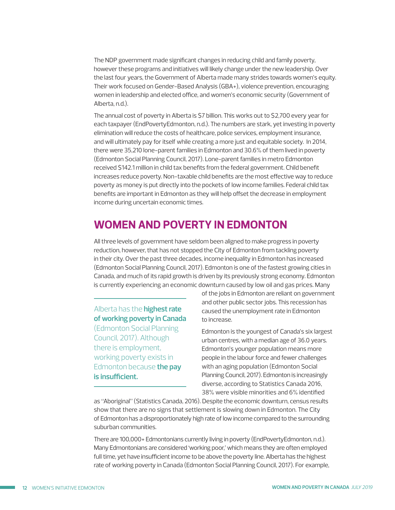<span id="page-11-0"></span>The NDP government made significant changes in reducing child and family poverty, however these programs and initiatives will likely change under the new leadership. Over the last four years, the Government of Alberta made many strides towards women's equity. Their work focused on Gender-Based Analysis (GBA+), violence prevention, encouraging women in leadership and elected office, and women's economic security (Government of Alberta, n.d.).

The annual cost of poverty in Alberta is \$7 billion. This works out to \$2,700 every year for each taxpayer (EndPovertyEdmonton, n.d.). The numbers are stark, yet investing in poverty elimination will reduce the costs of healthcare, police services, employment insurance, and will ultimately pay for itself while creating a more just and equitable society. In 2014, there were 35,210 lone-parent families in Edmonton and 30.6% of them lived in poverty (Edmonton Social Planning Council, 2017). Lone-parent families in metro Edmonton received \$142.1 million in child tax benefits from the federal government. Child benefit increases reduce poverty. Non-taxable child benefits are the most effective way to reduce poverty as money is put directly into the pockets of low income families. Federal child tax benefits are important in Edmonton as they will help offset the decrease in employment income during uncertain economic times.

#### **WOMEN AND POVERTY IN EDMONTON**

All three levels of government have seldom been aligned to make progress in poverty reduction, however, that has not stopped the City of Edmonton from tackling poverty in their city. Over the past three decades, income inequality in Edmonton has increased (Edmonton Social Planning Council, 2017). Edmonton is one of the fastest growing cities in Canada, and much of its rapid growth is driven by its previously strong economy. Edmonton is currently experiencing an economic downturn caused by low oil and gas prices. Many

Alberta has the **highest rate of working poverty in Canada**  (Edmonton Social Planning Council, 2017). Although there is employment, working poverty exists in Edmonton because **the pay is insufficient.** 

of the jobs in Edmonton are reliant on government and other public sector jobs. This recession has caused the unemployment rate in Edmonton to increase.

Edmonton is the youngest of Canada's six largest urban centres, with a median age of 36.0 years. Edmonton's younger population means more people in the labour force and fewer challenges with an aging population (Edmonton Social Planning Council, 2017). Edmonton is increasingly diverse, according to Statistics Canada 2016, 38% were visible minorities and 6% identified

as "Aboriginal" (Statistics Canada, 2016). Despite the economic downturn, census results show that there are no signs that settlement is slowing down in Edmonton. The City of Edmonton has a disproportionately high rate of low income compared to the surrounding suburban communities.

There are 100,000+ Edmontonians currently living in poverty (EndPovertyEdmonton, n.d.). Many Edmontonians are considered 'working poor,' which means they are often employed full time, yet have insufficient income to be above the poverty line. Alberta has the highest rate of working poverty in Canada (Edmonton Social Planning Council, 2017). For example,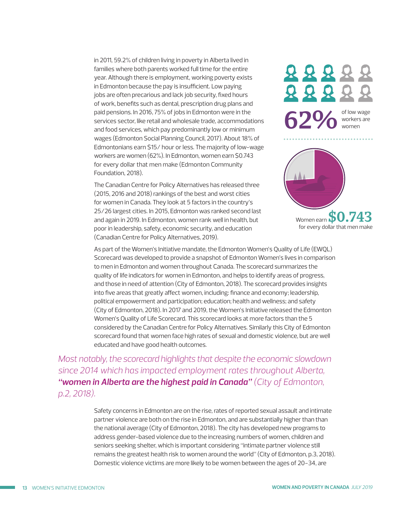in 2011, 59.2% of children living in poverty in Alberta lived in families where both parents worked full time for the entire year. Although there is employment, working poverty exists in Edmonton because the pay is insufficient. Low paying jobs are often precarious and lack job security, fixed hours of work, benefits such as dental, prescription drug plans and paid pensions. In 2016, 75% of jobs in Edmonton were in the services sector, like retail and wholesale trade, accommodations and food services, which pay predominantly low or minimum wages (Edmonton Social Planning Council, 2017). About 18% of Edmontonians earn \$15/ hour or less. The majority of low-wage workers are women (62%). In Edmonton, women earn \$0.743 for every dollar that men make (Edmonton Community Foundation, 2018).

The Canadian Centre for Policy Alternatives has released three (2015, 2016 and 2018) rankings of the best and worst cities for women in Canada. They look at 5 factors in the country's 25/26 largest cities. In 2015, Edmonton was ranked second last and again in 2019. In Edmonton, women rank well in health, but poor in leadership, safety, economic security, and education (Canadian Centre for Policy Alternatives, 2019).

88888 8882  $62\%$  of low wage workers are women



As part of the Women's Initiative mandate, the Edmonton Women's Quality of Life (EWQL) Scorecard was developed to provide a snapshot of Edmonton Women's lives in comparison to men in Edmonton and women throughout Canada. The scorecard summarizes the quality of life indicators for women in Edmonton, and helps to identify areas of progress, and those in need of attention (City of Edmonton, 2018). The scorecard provides insights into five areas that greatly affect women, including: finance and economy; leadership, political empowerment and participation; education; health and wellness; and safety (City of Edmonton, 2018). In 2017 and 2019, the Women's Initiative released the Edmonton Women's Quality of Life Scorecard. This scorecard looks at more factors than the 5 considered by the Canadian Centre for Policy Alternatives. Similarly this City of Edmonton scorecard found that women face high rates of sexual and domestic violence, but are well educated and have good health outcomes.

*Most notably, the scorecard highlights that despite the economic slowdown since 2014 which has impacted employment rates throughout Alberta, "women in Alberta are the highest paid in Canada" (City of Edmonton, p.2, 2018).* 

> Safety concerns in Edmonton are on the rise, rates of reported sexual assault and intimate partner violence are both on the rise in Edmonton, and are substantially higher than than the national average (City of Edmonton, 2018). The city has developed new programs to address gender-based violence due to the increasing numbers of women, children and seniors seeking shelter, which is important considering "intimate partner violence still remains the greatest health risk to women around the world" (City of Edmonton, p.3, 2018). Domestic violence victims are more likely to be women between the ages of 20-34, are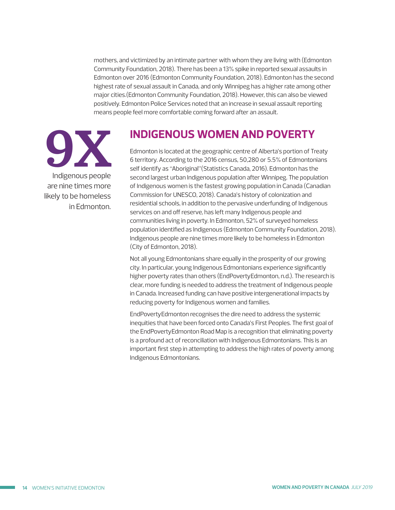<span id="page-13-0"></span>mothers, and victimized by an intimate partner with whom they are living with (Edmonton Community Foundation, 2018). There has been a 13% spike in reported sexual assaults in Edmonton over 2016 (Edmonton Community Foundation, 2018). Edmonton has the second highest rate of sexual assault in Canada, and only Winnipeg has a higher rate among other major cities.(Edmonton Community Foundation, 2018). However, this can also be viewed positively. Edmonton Police Services noted that an increase in sexual assault reporting means people feel more comfortable coming forward after an assault.



#### **INDIGENOUS WOMEN AND POVERTY**

Edmonton is located at the geographic centre of Alberta's portion of Treaty 6 territory. According to the 2016 census, 50,280 or 5.5% of Edmontonians self identify as "Aboriginal"(Statistics Canada, 2016). Edmonton has the second largest urban Indigenous population after Winnipeg. The population of Indigenous women is the fastest growing population in Canada (Canadian Commission for UNESCO, 2018). Canada's history of colonization and residential schools, in addition to the pervasive underfunding of Indigenous services on and off reserve, has left many Indigenous people and communities living in poverty. In Edmonton, 52% of surveyed homeless population identified as Indigenous (Edmonton Community Foundation, 2018). Indigenous people are nine times more likely to be homeless in Edmonton (City of Edmonton, 2018).

Not all young Edmontonians share equally in the prosperity of our growing city. In particular, young Indigenous Edmontonians experience significantly higher poverty rates than others (EndPovertyEdmonton, n.d.). The research is clear, more funding is needed to address the treatment of Indigenous people in Canada. Increased funding can have positive intergenerational impacts by reducing poverty for Indigenous women and families.

EndPovertyEdmonton recognises the dire need to address the systemic inequities that have been forced onto Canada's First Peoples. The first goal of the EndPovertyEdmonton Road Map is a recognition that eliminating poverty is a profound act of reconciliation with Indigenous Edmontonians. This is an important first step in attempting to address the high rates of poverty among Indigenous Edmontonians.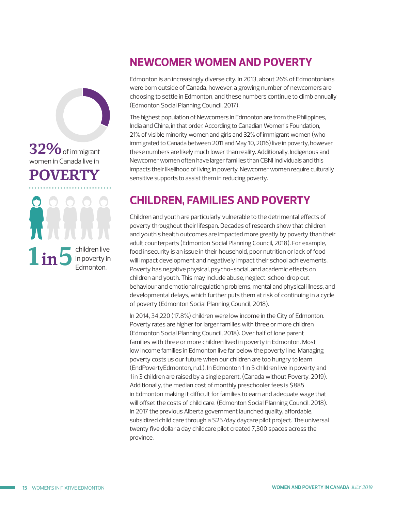### <span id="page-14-0"></span>32% of immigrant women in Canada live in POVERTY

children live  $1$  in  $5$  in poverty in

### **NEWCOMER WOMEN AND POVERTY**

Edmonton is an increasingly diverse city. In 2013, about 26% of Edmontonians were born outside of Canada, however, a growing number of newcomers are choosing to settle in Edmonton, and these numbers continue to climb annually (Edmonton Social Planning Council, 2017).

The highest population of Newcomers in Edmonton are from the Philippines, India and China, in that order. According to Canadian Women's Foundation, 21% of visible minority women and girls and 32% of immigrant women (who immigrated to Canada between 2011 and May 10, 2016) live in poverty, however these numbers are likely much lower than reality. Additionally, Indigenous and Newcomer women often have larger families than CBNI Individuals and this impacts their likelihood of living in poverty. Newcomer women require culturally sensitive supports to assist them in reducing poverty.

### **CHILDREN, FAMILIES AND POVERTY**

Children and youth are particularly vulnerable to the detrimental effects of poverty throughout their lifespan. Decades of research show that children and youth's health outcomes are impacted more greatly by poverty than their adult counterparts (Edmonton Social Planning Council, 2018). For example, food insecurity is an issue in their household, poor nutrition or lack of food will impact development and negatively impact their school achievements. Poverty has negative physical, psycho-social, and academic effects on children and youth. This may include abuse, neglect, school drop out, behaviour and emotional regulation problems, mental and physical illness, and developmental delays, which further puts them at risk of continuing in a cycle of poverty (Edmonton Social Planning Council, 2018).

In 2014, 34,220 (17.8%) children were low income in the City of Edmonton. Poverty rates are higher for larger families with three or more children (Edmonton Social Planning Council, 2018). Over half of lone parent families with three or more children lived in poverty in Edmonton. Most low income families in Edmonton live far below the poverty line. Managing poverty costs us our future when our children are too hungry to learn (EndPovertyEdmonton, n.d.). In Edmonton 1 in 5 children live in poverty and 1 in 3 children are raised by a single parent. (Canada without Poverty, 2019). Additionally, the median cost of monthly preschooler fees is \$885 in Edmonton making it difficult for families to earn and adequate wage that will offset the costs of child care. (Edmonton Social Planning Council, 2018). In 2017 the previous Alberta government launched quality, affordable, subsidized child care through a \$25/day daycare pilot project. The universal twenty five dollar a day childcare pilot created 7,300 spaces across the province.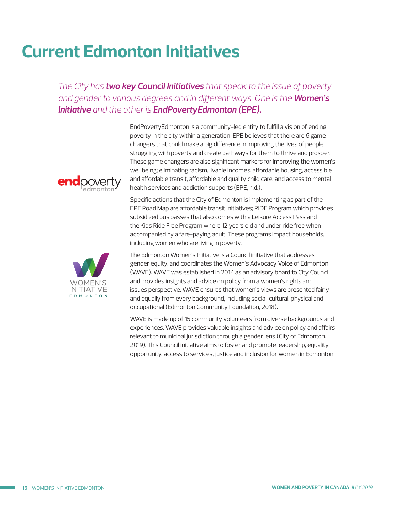## <span id="page-15-0"></span>**Current Edmonton Initiatives**

*The City has two key Council Initiatives that speak to the issue of poverty and gender to various degrees and in different ways. One is the Women's Initiative and the other is EndPovertyEdmonton (EPE).*



EndPovertyEdmonton is a community-led entity to fulfill a vision of ending poverty in the city within a generation. EPE believes that there are 6 game changers that could make a big difference in improving the lives of people struggling with poverty and create pathways for them to thrive and prosper. These game changers are also significant markers for improving the women's well being; eliminating racism, livable incomes, affordable housing, accessible and affordable transit, affordable and quality child care, and access to mental health services and addiction supports (EPE, n.d.).

Specific actions that the City of Edmonton is implementing as part of the EPE Road Map are affordable transit initiatives; RIDE Program which provides subsidized bus passes that also comes with a Leisure Access Pass and the Kids Ride Free Program where 12 years old and under ride free when accompanied by a fare-paying adult. These programs impact households, including women who are living in poverty.



The Edmonton Women's Initiative is a Council initiative that addresses gender equity, and coordinates the Women's Advocacy Voice of Edmonton (WAVE). WAVE was established in 2014 as an advisory board to City Council, and provides insights and advice on policy from a women's rights and issues perspective. WAVE ensures that women's views are presented fairly and equally from every background, including social, cultural, physical and occupational (Edmonton Community Foundation, 2018).

WAVE is made up of 15 community volunteers from diverse backgrounds and experiences. WAVE provides valuable insights and advice on policy and affairs relevant to municipal jurisdiction through a gender lens (City of Edmonton, 2019). This Council initiative aims to foster and promote leadership, equality, opportunity, access to services, justice and inclusion for women in Edmonton.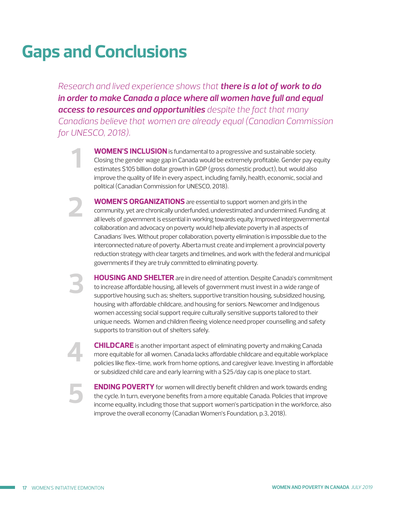# <span id="page-16-0"></span>**Gaps and Conclusions**

**2**

**1**

**3**

**4**

**5**

*Research and lived experience shows that there is a lot of work to do in order to make Canada a place where all women have full and equal access to resources and opportunities despite the fact that many Canadians believe that women are already equal (Canadian Commission for UNESCO, 2018).* 

> **WOMEN'S INCLUSION** is fundamental to a progressive and sustainable society. Closing the gender wage gap in Canada would be extremely profitable. Gender pay equity estimates \$105 billion dollar growth in GDP (gross domestic product), but would also improve the quality of life in every aspect, including family, health, economic, social and political (Canadian Commission for UNESCO, 2018).

**WOMEN'S ORGANIZATIONS** are essential to support women and girls in the community, yet are chronically underfunded, underestimated and undermined. Funding at all levels of government is essential in working towards equity. Improved intergovernmental collaboration and advocacy on poverty would help alleviate poverty in all aspects of Canadians' lives. Without proper collaboration, poverty elimination is impossible due to the interconnected nature of poverty. Alberta must create and implement a provincial poverty reduction strategy with clear targets and timelines, and work with the federal and municipal governments if they are truly committed to eliminating poverty.

**HOUSING AND SHELTER** are in dire need of attention. Despite Canada's commitment to increase affordable housing, all levels of government must invest in a wide range of supportive housing such as; shelters, supportive transition housing, subsidized housing, housing with affordable childcare, and housing for seniors. Newcomer and Indigenous women accessing social support require culturally sensitive supports tailored to their unique needs. Women and children fleeing violence need proper counselling and safety supports to transition out of shelters safely.

**CHILDCARE** is another important aspect of eliminating poverty and making Canada more equitable for all women. Canada lacks affordable childcare and equitable workplace policies like flex-time, work from home options, and caregiver leave. Investing in affordable or subsidized child care and early learning with a \$25/day cap is one place to start.

**ENDING POVERTY** for women will directly benefit children and work towards ending the cycle. In turn, everyone benefits from a more equitable Canada. Policies that improve income equality, including those that support women's participation in the workforce, also improve the overall economy (Canadian Women's Foundation, p.3, 2018).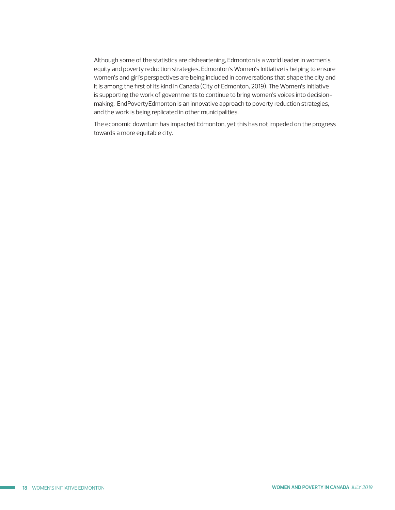Although some of the statistics are disheartening, Edmonton is a world leader in women's equity and poverty reduction strategies. Edmonton's Women's Initiative is helping to ensure women's and girl's perspectives are being included in conversations that shape the city and it is among the first of its kind in Canada (City of Edmonton, 2019). The Women's Initiative is supporting the work of governments to continue to bring women's voices into decisionmaking. EndPovertyEdmonton is an innovative approach to poverty reduction strategies, and the work is being replicated in other municipalities.

The economic downturn has impacted Edmonton, yet this has not impeded on the progress towards a more equitable city.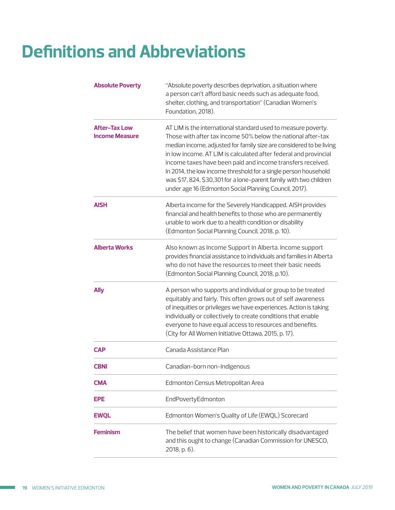# <span id="page-18-0"></span>**Definitions and Abbreviations**

| <b>Absolute Poverty</b>                       | "Absolute poverty describes deprivation, a situation where<br>a person can't afford basic needs such as adequate food,<br>shelter, clothing, and transportation" (Canadian Women's<br>Foundation, 2018).                                                                                                                                                                                                                                                                                                                                  |
|-----------------------------------------------|-------------------------------------------------------------------------------------------------------------------------------------------------------------------------------------------------------------------------------------------------------------------------------------------------------------------------------------------------------------------------------------------------------------------------------------------------------------------------------------------------------------------------------------------|
| <b>After-Tax Low</b><br><b>Income Measure</b> | AT LIM is the international standard used to measure poverty.<br>Those with after tax income 50% below the national after-tax<br>median income, adjusted for family size are considered to be living<br>in low income. AT LIM is calculated after federal and provincial<br>income taxes have been paid and income transfers received.<br>In 2014, the low income threshold for a single person household<br>was \$17, 824, \$30,301 for a lone-parent family with two children<br>under age 16 (Edmonton Social Planning Council, 2017). |
| <b>AISH</b>                                   | Alberta income for the Severely Handicapped. AISH provides<br>financial and health benefits to those who are permanently<br>unable to work due to a health condition or disability<br>(Edmonton Social Planning Council, 2018, p. 10).                                                                                                                                                                                                                                                                                                    |
| <b>Alberta Works</b>                          | Also known as Income Support in Alberta. Income support<br>provides financial assistance to individuals and families in Alberta<br>who do not have the resources to meet their basic needs<br>(Edmonton Social Planning Council, 2018, p.10).                                                                                                                                                                                                                                                                                             |
| <b>Ally</b>                                   | A person who supports and individual or group to be treated<br>equitably and fairly. This often grows out of self awareness<br>of inequities or privileges we have experiences. Action is taking<br>individually or collectively to create conditions that enable<br>everyone to have equal access to resources and benefits.<br>(City for All Women Initiative Ottawa, 2015, p. 17).                                                                                                                                                     |
| <b>CAP</b>                                    | Canada Assistance Plan                                                                                                                                                                                                                                                                                                                                                                                                                                                                                                                    |
| <b>CBNI</b>                                   | Canadian-born non-Indigenous                                                                                                                                                                                                                                                                                                                                                                                                                                                                                                              |
| CMA                                           | Edmonton Census Metropolitan Area                                                                                                                                                                                                                                                                                                                                                                                                                                                                                                         |
| EPE                                           | EndPovertyEdmonton                                                                                                                                                                                                                                                                                                                                                                                                                                                                                                                        |
| <b>EWQL</b>                                   | Edmonton Women's Quality of Life (EWQL) Scorecard                                                                                                                                                                                                                                                                                                                                                                                                                                                                                         |
| <b>Feminism</b>                               | The belief that women have been historically disadvantaged<br>and this ought to change (Canadian Commission for UNESCO,<br>2018, p. 6).                                                                                                                                                                                                                                                                                                                                                                                                   |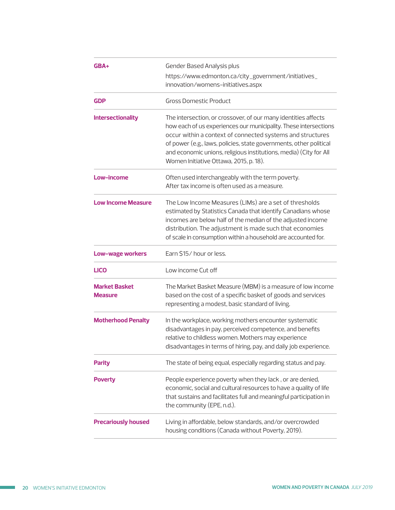| GBA+                                   | Gender Based Analysis plus<br>https://www.edmonton.ca/city_government/initiatives_<br>innovation/womens-initiatives.aspx                                                                                                                                                                                                                                                              |
|----------------------------------------|---------------------------------------------------------------------------------------------------------------------------------------------------------------------------------------------------------------------------------------------------------------------------------------------------------------------------------------------------------------------------------------|
| <b>GDP</b>                             | <b>Gross Domestic Product</b>                                                                                                                                                                                                                                                                                                                                                         |
| <b>Intersectionality</b>               | The intersection, or crossover, of our many identities affects<br>how each of us experiences our municipality. These intersections<br>occur within a context of connected systems and structures<br>of power (e.g., laws, policies, state governments, other political<br>and economic unions, religious institutions, media) (City for All<br>Women Initiative Ottawa, 2015, p. 18). |
| Low-income                             | Often used interchangeably with the term poverty.<br>After tax income is often used as a measure.                                                                                                                                                                                                                                                                                     |
| <b>Low Income Measure</b>              | The Low Income Measures (LIMs) are a set of thresholds<br>estimated by Statistics Canada that identify Canadians whose<br>incomes are below half of the median of the adjusted income<br>distribution. The adjustment is made such that economies<br>of scale in consumption within a household are accounted for.                                                                    |
| <b>Low-wage workers</b>                | Earn \$15/ hour or less.                                                                                                                                                                                                                                                                                                                                                              |
| <b>LICO</b>                            | Low income Cut off                                                                                                                                                                                                                                                                                                                                                                    |
| <b>Market Basket</b><br><b>Measure</b> | The Market Basket Measure (MBM) is a measure of low income<br>based on the cost of a specific basket of goods and services<br>representing a modest, basic standard of living.                                                                                                                                                                                                        |
| <b>Motherhood Penalty</b>              | In the workplace, working mothers encounter systematic<br>disadvantages in pay, perceived competence, and benefits<br>relative to childless women. Mothers may experience<br>disadvantages in terms of hiring, pay, and daily job experience.                                                                                                                                         |
| <b>Parity</b>                          | The state of being equal, especially regarding status and pay.                                                                                                                                                                                                                                                                                                                        |
| <b>Poverty</b>                         | People experience poverty when they lack, or are denied,<br>economic, social and cultural resources to have a quality of life<br>that sustains and facilitates full and meaningful participation in<br>the community (EPE, n.d.).                                                                                                                                                     |
| <b>Precariously housed</b>             | Living in affordable, below standards, and/or overcrowded<br>housing conditions (Canada without Poverty, 2019).                                                                                                                                                                                                                                                                       |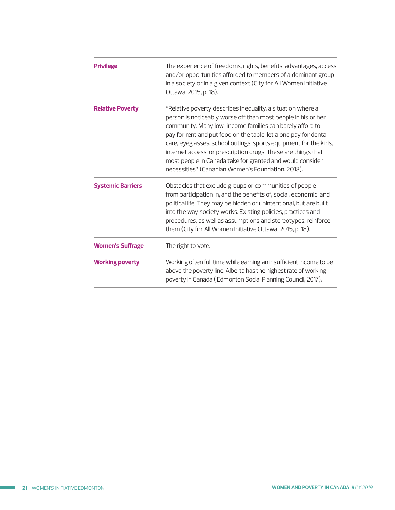| <b>Privilege</b>         | The experience of freedoms, rights, benefits, advantages, access<br>and/or opportunities afforded to members of a dominant group<br>in a society or in a given context (City for All Women Initiative<br>Ottawa, 2015, p. 18).                                                                                                                                                                                                                                                                                      |
|--------------------------|---------------------------------------------------------------------------------------------------------------------------------------------------------------------------------------------------------------------------------------------------------------------------------------------------------------------------------------------------------------------------------------------------------------------------------------------------------------------------------------------------------------------|
| <b>Relative Poverty</b>  | "Relative poverty describes inequality, a situation where a<br>person is noticeably worse off than most people in his or her<br>community. Many low-income families can barely afford to<br>pay for rent and put food on the table, let alone pay for dental<br>care, eyeglasses, school outings, sports equipment for the kids,<br>internet access, or prescription drugs. These are things that<br>most people in Canada take for granted and would consider<br>necessities" (Canadian Women's Foundation, 2018). |
| <b>Systemic Barriers</b> | Obstacles that exclude groups or communities of people<br>from participation in, and the benefits of, social, economic, and<br>political life. They may be hidden or unintentional, but are built<br>into the way society works. Existing policies, practices and<br>procedures, as well as assumptions and stereotypes, reinforce<br>them (City for All Women Initiative Ottawa, 2015, p. 18).                                                                                                                     |
| <b>Women's Suffrage</b>  | The right to vote.                                                                                                                                                                                                                                                                                                                                                                                                                                                                                                  |
| <b>Working poverty</b>   | Working often full time while earning an insufficient income to be<br>above the poverty line. Alberta has the highest rate of working<br>poverty in Canada (Edmonton Social Planning Council, 2017).                                                                                                                                                                                                                                                                                                                |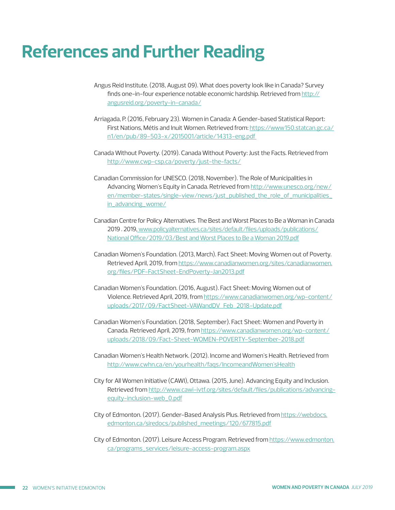### <span id="page-21-0"></span>**References and Further Reading**

- Angus Reid Institute. (2018, August 09). What does poverty look like in Canada? Survey finds one-in-four experience notable economic hardship. Retrieved from http:// angusreid.org/poverty-in-canada/
- Arriagada, P. (2016, February 23). Women in Canada: A Gender-based Statistical Report: [First Nations, Métis and Inuit Women. Retrieved from: https://www150.statcan.gc.ca/](https://www150.statcan.gc.ca/n1/en/pub/89-503-x/2015001/article/14313-eng.pdf) [n1/en/pub/89-503-x/2015001/article/14313-eng.pdf](https://www150.statcan.gc.ca/n1/en/pub/89-503-x/2015001/article/14313-eng.pdf )
- Canada Without Poverty. (2019). Canada Without Poverty: Just the Facts. Retrieved from <http://www.cwp-csp.ca/poverty/just-the-facts/>
- Canadian Commission for UNESCO. (2018, November). The Role of Municipalities in Advancing Women's Equity in Canada. Retrieved from [http://www.unesco.org/new/](https://www150.statcan.gc.ca/n1/en/pub/89-503-x/2015001/article/14313-eng.pdf ) [en/member-states/single-view/news/just\\_published\\_the\\_role\\_of\\_municipalities\\_](http://www.unesco.org/new/en/member-states/single-view/news/just_published_the_role_of_municipalities_in_advancing_wome/) [in\\_advancing\\_wome/](https://www150.statcan.gc.ca/n1/en/pub/89-503-x/2015001/article/14313-eng.pdf )
- Canadian Centre for Policy Alternatives. The Best and Worst Places to Be a Woman in Canada 2019 . 2019[, www.policyalternatives.ca/sites/default/files/uploads/publications/](http://www.policyalternatives.ca/sites/default/files/uploads/publications/National Office/2019/03/Best and Worst Places to Be a Woman 2019.pdf) [National Office/2019/03/Best and Worst Places to Be a Woman 2019.pdf](http://www.policyalternatives.ca/sites/default/files/uploads/publications/National Office/2019/03/Best and Worst Places to Be a Woman 2019.pdf)
- Canadian Women's Foundation. (2013, March). Fact Sheet: Moving Women out of Poverty. Retrieved April, 2019, from [https://www.canadianwomen.org/sites/canadianwomen.](https://www.canadianwomen.org/sites/canadianwomen.org/files/PDF-FactSheet-EndPoverty-Jan2013.pdf) [org/files/PDF-FactSheet-EndPoverty-Jan2013.pdf](https://www.canadianwomen.org/sites/canadianwomen.org/files/PDF-FactSheet-EndPoverty-Jan2013.pdf)
- Canadian Women's Foundation. (2016, August). Fact Sheet: Moving Women out of Violence. Retrieved April, 2019, from [https://www.canadianwomen.org/wp-content/](https://www.canadianwomen.org/wp-content/uploads/2017/09/FactSheet-VAWandDV_Feb_2018-Update.pdf) [uploads/2017/09/FactSheet-VAWandDV\\_Feb\\_2018-Update.pdf](https://www.canadianwomen.org/wp-content/uploads/2017/09/FactSheet-VAWandDV_Feb_2018-Update.pdf)
- Canadian Women's Foundation. (2018, September). Fact Sheet: Women and Poverty in Canada. Retrieved April, 2019, from [https://www.canadianwomen.org/wp-content/](https://www.canadianwomen.org/wp-content/uploads/2018/09/Fact-Sheet-WOMEN-POVERTY-September-2018.pdf) [uploads/2018/09/Fact-Sheet-WOMEN-POVERTY-September-2018.pdf](https://www.canadianwomen.org/wp-content/uploads/2018/09/Fact-Sheet-WOMEN-POVERTY-September-2018.pdf)
- Canadian Women's Health Network. (2012). Income and Women's Health. Retrieved from [http://www.cwhn.ca/en/yourhealth/faqs/IncomeandWomen'sHealth](http://www.cwhn.ca/en/yourhealth/faqs/IncomeandWomen)
- City for All Women Initiative (CAWI), Ottawa. (2015, June). Advancing Equity and Inclusion. Retrieved from [http://www.cawi-ivtf.org/sites/default/files/publications/advancing](http://www.cawi-ivtf.org/sites/default/files/publications/advancing-equity-inclusion-web_0.pdf)[equity-inclusion-web\\_0.pdf](http://www.cawi-ivtf.org/sites/default/files/publications/advancing-equity-inclusion-web_0.pdf)
- City of Edmonton. (2017). Gender-Based Analysis Plus. Retrieved from [https://webdocs.](http://www.cawi-ivtf.org/sites/default/files/publications/advancing-equity-inclusion-web_0.pdf) [edmonton.ca/siredocs/published\\_meetings/120/677815.pdf](http://www.cawi-ivtf.org/sites/default/files/publications/advancing-equity-inclusion-web_0.pdf)
- City [of Edmonton. \(2017\). Leisure Access Program. Retrieved from https://www.edmonton.](https://www.edmonton.ca/programs_services/leisure-access-program.aspx) [ca/programs\\_services/leisure-access-program.aspx](https://www.edmonton.ca/programs_services/leisure-access-program.aspx
)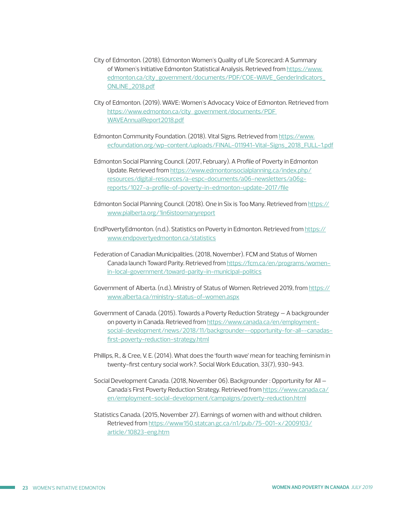- City of Edmonton. (2018). Edmonton Women's Quality of Life Scorecard: A Summary of Women's Initiative Edmonton Statistical Analysis. Retrieved from [https://www.](https://www.edmonton.ca/city_government/documents/PDF/COE-WAVE_GenderIndicators_ONLINE_2018.pdf) [edmonton.ca/city\\_government/documents/PDF/COE-WAVE\\_GenderIndicators\\_](https://www.edmonton.ca/city_government/documents/PDF/COE-WAVE_GenderIndicators_ONLINE_2018.pdf) [ONLINE\\_2018.pdf](https://www.edmonton.ca/city_government/documents/PDF/COE-WAVE_GenderIndicators_ONLINE_2018.pdf)
- City of Edmonton. (2019). WAVE: Women's Advocacy Voice of Edmonton. Retrieved from [https://www.edmonton.ca/city\\_government/documents/PD](https://www.edmonton.ca/city_government/documents/PDF/WAVEAnnualReport2018.pdf)[F](https://www.edmonton.ca/city_government/documents/PDF WAVEAnnualReport2018.pdf)  WAVEAnnualReport2018.pdf
- Edmonton Community Foundation. (2018). Vital Signs. Retrieved from [https://www.](https://www.ecfoundation.org/wp-content/uploads/FINAL-011941-Vital-Signs_2018_FULL-1.pdf) [ecfoundation.org/wp-content/uploads/FINAL-011941-Vital-Signs\\_2018\\_FULL-1.pdf](https://www.ecfoundation.org/wp-content/uploads/FINAL-011941-Vital-Signs_2018_FULL-1.pdf)
- Edmonton Social Planning Council. (2017, February). A Profile of Poverty in Edmonton Update. Retrieved from [https://www.edmontonsocialplanning.ca/index.php/](https://www.edmontonsocialplanning.ca/index.php/resources/digital-resources/a-espc-documents/a06-newsletters/a06g-reports/1027-a-profile-of-poverty-in-edmonton-update-2017/file) [resources/digital-resources/a-espc-documents/a06-newsletters/a06g](https://www.edmontonsocialplanning.ca/index.php/resources/digital-resources/a-espc-documents/a06-newsletters/a06g-reports/1027-a-profile-of-poverty-in-edmonton-update-2017/file)[reports/1027-a-profile-of-poverty-in-edmonton-update-2017/file](https://www.edmontonsocialplanning.ca/index.php/resources/digital-resources/a-espc-documents/a06-newsletters/a06g-reports/1027-a-profile-of-poverty-in-edmonton-update-2017/file)
- Edmonton Social Planning Council. (2018). One in Six is Too Many. Retrieved from [https://](https://www.pialberta.org/1in6istoomanyreport) [www.pialberta.org/1in6istoomanyreport](https://www.pialberta.org/1in6istoomanyreport)
- EndPovertyEdmonton. (n.d.). Statistics on Poverty in Edmonton. Retrieved from [https://](https://www.endpovertyedmonton.ca/statistics) [www.endpovertyedmonton.ca/statistics](https://www.endpovertyedmonton.ca/statistics)
- Federation of Canadian Municipalities. (2018, November). FCM and Status of Women Canada launch Toward Parity. Retrieved from [https://fcm.ca/en/programs/women](https://fcm.ca/en/programs/women-in-local-government/toward-parity-in-municipal-politics)[in-local-government/toward-parity-in-municipal-politics](https://fcm.ca/en/programs/women-in-local-government/toward-parity-in-municipal-politics)
- Government of Alberta. (n.d.). Ministry of Status of Women. Retrieved 2019, from [https://](https://www.alberta.ca/ministry-status-of-women.aspx) [www.alberta.ca/ministry-status-of-women.aspx](https://www.alberta.ca/ministry-status-of-women.aspx)
- Government of Canada. (2015). Towards a Poverty Reduction Strategy A backgrounder on poverty in Canada. Retrieved from [https://www.canada.ca/en/employment](https://www.canada.ca/en/employment-social-development/news/2018/11/backgrounder--opportunity-for-all--canadas-first-poverty-reduction-strategy.html)[social-development/news/2018/11/backgrounder--opportunity-for-all--canadas](https://www.canada.ca/en/employment-social-development/news/2018/11/backgrounder--opportunity-for-all--canadas-first-poverty-reduction-strategy.html)[first-poverty-reduction-strategy.html](https://www.canada.ca/en/employment-social-development/news/2018/11/backgrounder--opportunity-for-all--canadas-first-poverty-reduction-strategy.html)
- Phillips, R., & Cree, V. E. (2014). What does the 'fourth wave' mean for teaching feminism in twenty-first century social work?. Social Work Education, 33(7), 930-943.
- Social Development Canada. (2018, November 06). Backgrounder : Opportunity for All Canada's First Poverty Reduction Strategy. Retrieved from [https://www.canada.ca/](https://www.canada.ca/en/employment-social-development/campaigns/poverty-reduction.html) [en/employment-social-development/campaigns/poverty-reduction.html](https://www.canada.ca/en/employment-social-development/campaigns/poverty-reduction.html)
- Statistics Canada. (2015, November 27). Earnings of women with and without children. Retrieved from [https://www150.statcan.gc.ca/n1/pub/75-001-x/2009103/](https://www150.statcan.gc.ca/n1/pub/75-001-x/2009103/article/10823-eng.htm) [article/10823-eng.htm](https://www150.statcan.gc.ca/n1/pub/75-001-x/2009103/article/10823-eng.htm)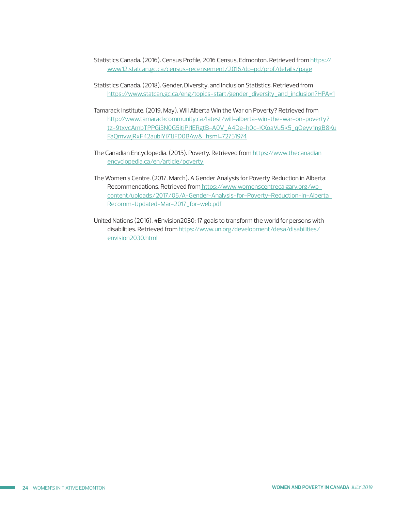Statistics Canada. (2016). Census Profile, 2016 Census, Edmonton. Retrieved from [https://](https://www12.statcan.gc.ca/census-recensement/2016/dp-pd/prof/details/page) [www12.statcan.gc.ca/census-recensement/2016/dp-pd/prof/details/page](https://www12.statcan.gc.ca/census-recensement/2016/dp-pd/prof/details/page)

- Statistics Canada. (2018). Gender, Diversity, and Inclusion Statistics. Retrieved from [https://www.statcan.gc.ca/eng/topics-start/gender\\_diversity\\_and\\_inclusion?HPA=1](https://www.statcan.gc.ca/eng/topics-start/gender_diversity_and_inclusion?HPA=1
)
- Tamarack Institute. (2019, May). Will Alberta Win the War on Poverty? Retrieved from [http://www.tamarackcommunity.ca/latest/will-alberta-win-the-war-on-poverty?](http://www.tamarackcommunity.ca/latest/will-alberta-win-the-war-on-poverty?
tz-9txvcAmbTPPGi3N0G5itjPj1ERgtB-A0V_A4De-h0c-KXoaVu5k5_qOeyv1ngB8Ku
FaQmvwjRxF42aublYI71JFD0BAw&_hsmi=72751974) [tz-9txvcAmbTPPGi3N0G5itjPj1ERgtB-A0V\\_A4De-h0c-KXoaVu5k5\\_qOeyv1ngB8Ku](http://www.tamarackcommunity.ca/latest/will-alberta-win-the-war-on-poverty?
tz-9txvcAmbTPPGi3N0G5itjPj1ERgtB-A0V_A4De-h0c-KXoaVu5k5_qOeyv1ngB8Ku
FaQmvwjRxF42aublYI71JFD0BAw&_hsmi=72751974) [FaQmvwjRxF42aublYI71JFD0BAw&\\_hsmi=72751974](http://www.tamarackcommunity.ca/latest/will-alberta-win-the-war-on-poverty?
tz-9txvcAmbTPPGi3N0G5itjPj1ERgtB-A0V_A4De-h0c-KXoaVu5k5_qOeyv1ngB8Ku
FaQmvwjRxF42aublYI71JFD0BAw&_hsmi=72751974)
- The [Canadian Encyclopedia. \(2015\). Poverty. Retrieved from h](https://www.thecanadianencyclopedia.ca/en/article/poverty)[ttps://www.thecanadian](https://www.thecanadian
encyclopedia.ca/en/article/poverty) encyclopedia.ca/en/article/poverty
- The Women's Centre. (2017, March). A Gender Analysis for Poverty Reduction in Alberta: Recommendations. Retrieved from [https://www.womenscentrecalgary.org/wp](https://www.womenscentrecalgary.org/wp-content/uploads/2017/05/A-Gender-Analysis-for-Poverty-Reduction-in-Alberta_Recomm-Updated-Mar-2017_for-web.pdf)[content/uploads/2017/05/A-Gender-Analysis-for-Poverty-Reduction-in-Alberta\\_](https://www.womenscentrecalgary.org/wp-content/uploads/2017/05/A-Gender-Analysis-for-Poverty-Reduction-in-Alberta_Recomm-Updated-Mar-2017_for-web.pdf) [Recomm-Updated-Mar-2017\\_for-web.pdf](https://www.womenscentrecalgary.org/wp-content/uploads/2017/05/A-Gender-Analysis-for-Poverty-Reduction-in-Alberta_Recomm-Updated-Mar-2017_for-web.pdf)
- United Nations (2016). #Envision2030: 17 goals to transform the world for persons with [disabilities. Retrieved from https://www.un.org/development/desa/disabilities/](https://www.un.org/development/desa/disabilities/envision2030.html) [envision2030.html](https://www.un.org/development/desa/disabilities/
envision2030.html)

T,